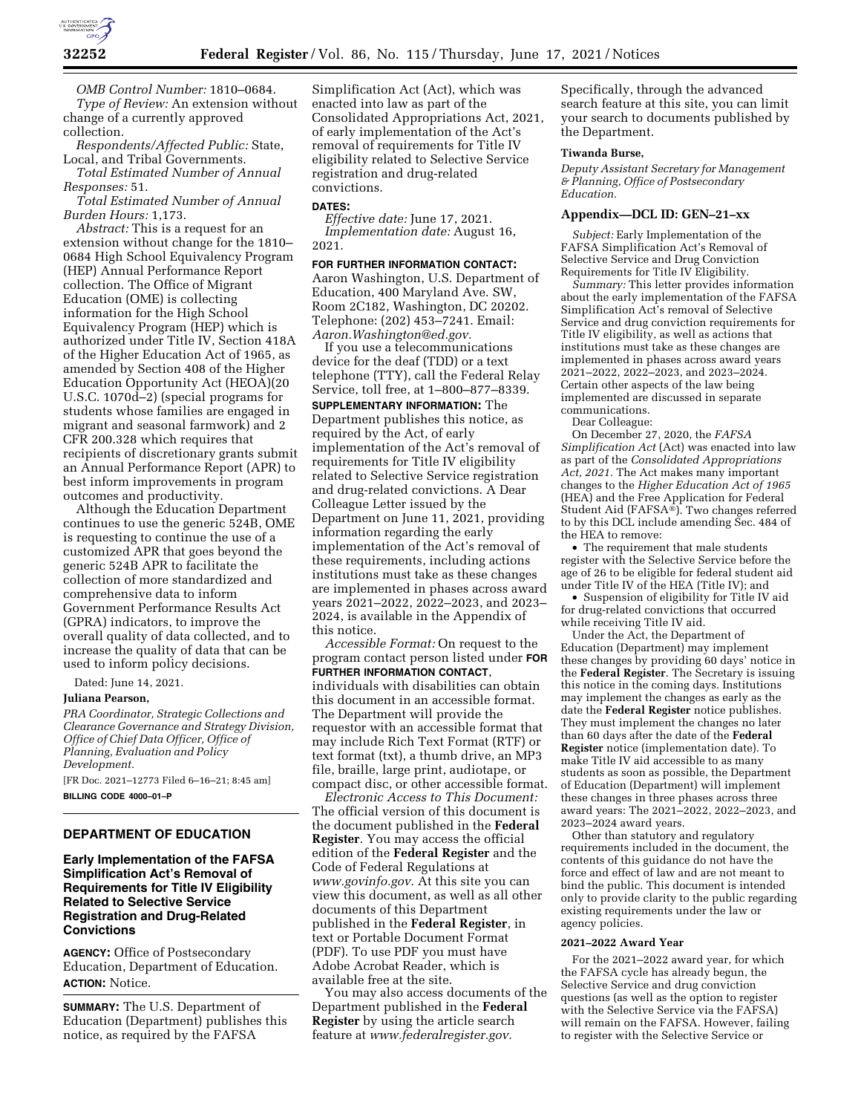

*OMB Control Number:* 1810–0684. *Type of Review:* An extension without change of a currently approved collection.

*Respondents/Affected Public:* State, Local, and Tribal Governments.

*Total Estimated Number of Annual Responses:* 51.

*Total Estimated Number of Annual Burden Hours:* 1,173.

*Abstract:* This is a request for an extension without change for the 1810– 0684 High School Equivalency Program (HEP) Annual Performance Report collection. The Office of Migrant Education (OME) is collecting information for the High School Equivalency Program (HEP) which is authorized under Title IV, Section 418A of the Higher Education Act of 1965, as amended by Section 408 of the Higher Education Opportunity Act (HEOA)(20 U.S.C. 1070d–2) (special programs for students whose families are engaged in migrant and seasonal farmwork) and 2 CFR 200.328 which requires that recipients of discretionary grants submit an Annual Performance Report (APR) to best inform improvements in program outcomes and productivity.

Although the Education Department continues to use the generic 524B, OME is requesting to continue the use of a customized APR that goes beyond the generic 524B APR to facilitate the collection of more standardized and comprehensive data to inform Government Performance Results Act (GPRA) indicators, to improve the overall quality of data collected, and to increase the quality of data that can be used to inform policy decisions.

Dated: June 14, 2021.

#### **Juliana Pearson,**

*PRA Coordinator, Strategic Collections and Clearance Governance and Strategy Division, Office of Chief Data Officer, Office of Planning, Evaluation and Policy Development.* 

[FR Doc. 2021–12773 Filed 6–16–21; 8:45 am] **BILLING CODE 4000–01–P** 

## **DEPARTMENT OF EDUCATION**

## **Early Implementation of the FAFSA Simplification Act's Removal of Requirements for Title IV Eligibility Related to Selective Service Registration and Drug-Related Convictions**

**AGENCY:** Office of Postsecondary Education, Department of Education. **ACTION:** Notice.

**SUMMARY:** The U.S. Department of Education (Department) publishes this notice, as required by the FAFSA

Simplification Act (Act), which was enacted into law as part of the Consolidated Appropriations Act, 2021, of early implementation of the Act's removal of requirements for Title IV eligibility related to Selective Service registration and drug-related convictions.

#### **DATES:**

*Effective date:* June 17, 2021. *Implementation date:* August 16, 2021.

**FOR FURTHER INFORMATION CONTACT:**  Aaron Washington, U.S. Department of Education, 400 Maryland Ave. SW, Room 2C182, Washington, DC 20202. Telephone: (202) 453–7241. Email: *[Aaron.Washington@ed.gov.](mailto:Aaron.Washington@ed.gov)* 

If you use a telecommunications device for the deaf (TDD) or a text telephone (TTY), call the Federal Relay Service, toll free, at 1–800–877–8339.

**SUPPLEMENTARY INFORMATION:** The Department publishes this notice, as required by the Act, of early implementation of the Act's removal of requirements for Title IV eligibility related to Selective Service registration and drug-related convictions. A Dear Colleague Letter issued by the Department on June 11, 2021, providing information regarding the early implementation of the Act's removal of these requirements, including actions institutions must take as these changes are implemented in phases across award years 2021–2022, 2022–2023, and 2023– 2024, is available in the Appendix of this notice.

*Accessible Format:* On request to the program contact person listed under **FOR FURTHER INFORMATION CONTACT**, individuals with disabilities can obtain this document in an accessible format. The Department will provide the requestor with an accessible format that may include Rich Text Format (RTF) or text format (txt), a thumb drive, an MP3 file, braille, large print, audiotape, or compact disc, or other accessible format.

*Electronic Access to This Document:*  The official version of this document is the document published in the **Federal Register**. You may access the official edition of the **Federal Register** and the Code of Federal Regulations at *[www.govinfo.gov.](http://www.govinfo.gov)* At this site you can view this document, as well as all other documents of this Department published in the **Federal Register**, in text or Portable Document Format (PDF). To use PDF you must have Adobe Acrobat Reader, which is available free at the site.

You may also access documents of the Department published in the **Federal Register** by using the article search feature at *[www.federalregister.gov.](http://www.federalregister.gov)* 

Specifically, through the advanced search feature at this site, you can limit your search to documents published by the Department.

#### **Tiwanda Burse,**

*Deputy Assistant Secretary for Management & Planning, Office of Postsecondary Education.* 

#### **Appendix—DCL ID: GEN–21–xx**

*Subject:* Early Implementation of the FAFSA Simplification Act's Removal of Selective Service and Drug Conviction Requirements for Title IV Eligibility.

*Summary:* This letter provides information about the early implementation of the FAFSA Simplification Act's removal of Selective Service and drug conviction requirements for Title IV eligibility, as well as actions that institutions must take as these changes are implemented in phases across award years 2021–2022, 2022–2023, and 2023–2024. Certain other aspects of the law being implemented are discussed in separate communications.

Dear Colleague:

On December 27, 2020, the *FAFSA Simplification Act* (Act) was enacted into law as part of the *Consolidated Appropriations Act, 2021.* The Act makes many important changes to the *Higher Education Act of 1965*  (HEA) and the Free Application for Federal Student Aid (FAFSA®). Two changes referred to by this DCL include amending Sec. 484 of the HEA to remove:

• The requirement that male students register with the Selective Service before the age of 26 to be eligible for federal student aid under Title IV of the HEA (Title IV); and

• Suspension of eligibility for Title IV aid for drug-related convictions that occurred while receiving Title IV aid.

Under the Act, the Department of Education (Department) may implement these changes by providing 60 days' notice in the **Federal Register**. The Secretary is issuing this notice in the coming days. Institutions may implement the changes as early as the date the **Federal Register** notice publishes. They must implement the changes no later than 60 days after the date of the **Federal Register** notice (implementation date). To make Title IV aid accessible to as many students as soon as possible, the Department of Education (Department) will implement these changes in three phases across three award years: The 2021–2022, 2022–2023, and 2023–2024 award years.

Other than statutory and regulatory requirements included in the document, the contents of this guidance do not have the force and effect of law and are not meant to bind the public. This document is intended only to provide clarity to the public regarding existing requirements under the law or agency policies.

#### **2021–2022 Award Year**

For the 2021–2022 award year, for which the FAFSA cycle has already begun, the Selective Service and drug conviction questions (as well as the option to register with the Selective Service via the FAFSA) will remain on the FAFSA. However, failing to register with the Selective Service or